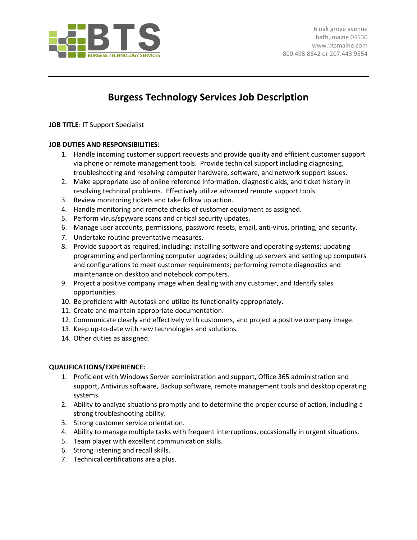

## **Burgess Technology Services Job Description**

**JOB TITLE**: IT Support Specialist

## **JOB DUTIES AND RESPONSIBILITIES:**

- 1. Handle incoming customer support requests and provide quality and efficient customer support via phone or remote management tools. Provide technical support including diagnosing, troubleshooting and resolving computer hardware, software, and network support issues.
- 2. Make appropriate use of online reference information, diagnostic aids, and ticket history in resolving technical problems. Effectively utilize advanced remote support tools.
- 3. Review monitoring tickets and take follow up action.
- 4. Handle monitoring and remote checks of customer equipment as assigned.
- 5. Perform virus/spyware scans and critical security updates.
- 6. Manage user accounts, permissions, password resets, email, anti-virus, printing, and security.
- 7. Undertake routine preventative measures.
- 8. Provide support as required, including: installing software and operating systems; updating programming and performing computer upgrades; building up servers and setting up computers and configurations to meet customer requirements; performing remote diagnostics and maintenance on desktop and notebook computers.
- 9. Project a positive company image when dealing with any customer, and Identify sales opportunities.
- 10. Be proficient with Autotask and utilize its functionality appropriately.
- 11. Create and maintain appropriate documentation.
- 12. Communicate clearly and effectively with customers, and project a positive company image.
- 13. Keep up-to-date with new technologies and solutions.
- 14. Other duties as assigned.

## **QUALIFICATIONS/EXPERIENCE:**

- 1. Proficient with Windows Server administration and support, Office 365 administration and support, Antivirus software, Backup software, remote management tools and desktop operating systems.
- 2. Ability to analyze situations promptly and to determine the proper course of action, including a strong troubleshooting ability.
- 3. Strong customer service orientation.
- 4. Ability to manage multiple tasks with frequent interruptions, occasionally in urgent situations.
- 5. Team player with excellent communication skills.
- 6. Strong listening and recall skills.
- 7. Technical certifications are a plus.